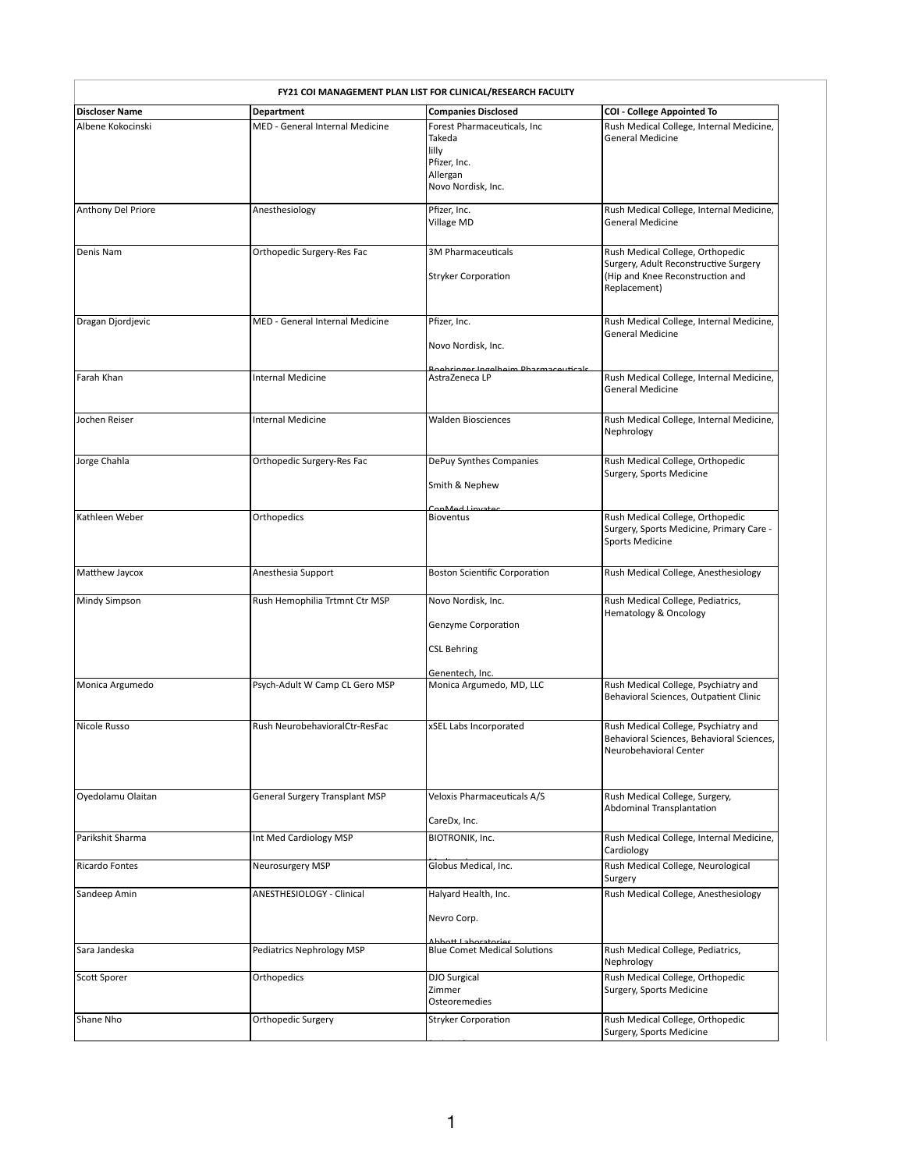| FY21 COI MANAGEMENT PLAN LIST FOR CLINICAL/RESEARCH FACULTY |                                       |                                                                                                  |                                                                                                                               |  |
|-------------------------------------------------------------|---------------------------------------|--------------------------------------------------------------------------------------------------|-------------------------------------------------------------------------------------------------------------------------------|--|
| <b>Discloser Name</b>                                       | <b>Department</b>                     | <b>Companies Disclosed</b>                                                                       | <b>COI - College Appointed To</b>                                                                                             |  |
| Albene Kokocinski                                           | MED - General Internal Medicine       | Forest Pharmaceuticals, Inc<br>Takeda<br>lilly<br>Pfizer, Inc.<br>Allergan<br>Novo Nordisk, Inc. | Rush Medical College, Internal Medicine,<br><b>General Medicine</b>                                                           |  |
| Anthony Del Priore                                          | Anesthesiology                        | Pfizer, Inc.                                                                                     | Rush Medical College, Internal Medicine,                                                                                      |  |
|                                                             |                                       | Village MD                                                                                       | <b>General Medicine</b>                                                                                                       |  |
| Denis Nam                                                   | Orthopedic Surgery-Res Fac            | 3M Pharmaceuticals<br><b>Stryker Corporation</b>                                                 | Rush Medical College, Orthopedic<br>Surgery, Adult Reconstructive Surgery<br>(Hip and Knee Reconstruction and<br>Replacement) |  |
| Dragan Djordjevic                                           | MED - General Internal Medicine       | Pfizer, Inc.<br>Novo Nordisk, Inc.                                                               | Rush Medical College, Internal Medicine,<br><b>General Medicine</b>                                                           |  |
| Farah Khan                                                  | Internal Medicine                     | Roobringer Ingelheim Dharmaceuticals<br>AstraZeneca LP                                           | Rush Medical College, Internal Medicine,<br><b>General Medicine</b>                                                           |  |
| Jochen Reiser                                               | Internal Medicine                     | <b>Walden Biosciences</b>                                                                        | Rush Medical College, Internal Medicine,<br>Nephrology                                                                        |  |
| Jorge Chahla                                                | Orthopedic Surgery-Res Fac            | DePuy Synthes Companies<br>Smith & Nephew                                                        | Rush Medical College, Orthopedic<br>Surgery, Sports Medicine                                                                  |  |
| Kathleen Weber                                              | Orthopedics                           | ConMed Linvator<br><b>Bioventus</b>                                                              | Rush Medical College, Orthopedic<br>Surgery, Sports Medicine, Primary Care -<br><b>Sports Medicine</b>                        |  |
| Matthew Jaycox                                              | Anesthesia Support                    | <b>Boston Scientific Corporation</b>                                                             | Rush Medical College, Anesthesiology                                                                                          |  |
| <b>Mindy Simpson</b>                                        | Rush Hemophilia Trtmnt Ctr MSP        | Novo Nordisk, Inc.<br>Genzyme Corporation<br><b>CSL Behring</b>                                  | Rush Medical College, Pediatrics,<br><b>Hematology &amp; Oncology</b>                                                         |  |
| Monica Argumedo                                             | Psych-Adult W Camp CL Gero MSP        | Genentech, Inc.<br>Monica Argumedo, MD, LLC                                                      | Rush Medical College, Psychiatry and<br>Behavioral Sciences, Outpatient Clinic                                                |  |
| Nicole Russo                                                | Rush NeurobehavioralCtr-ResFac        | xSEL Labs Incorporated                                                                           | Rush Medical College, Psychiatry and<br>Behavioral Sciences, Behavioral Sciences,<br>Neurobehavioral Center                   |  |
| Oyedolamu Olaitan                                           | <b>General Surgery Transplant MSP</b> | Veloxis Pharmaceuticals A/S                                                                      | Rush Medical College, Surgery,                                                                                                |  |
|                                                             |                                       | CareDx, Inc.                                                                                     | Abdominal Transplantation                                                                                                     |  |
| Parikshit Sharma                                            | Int Med Cardiology MSP                | BIOTRONIK, Inc.                                                                                  | Rush Medical College, Internal Medicine,<br>Cardiology                                                                        |  |
| <b>Ricardo Fontes</b>                                       | Neurosurgery MSP                      | Globus Medical, Inc.                                                                             | Rush Medical College, Neurological<br>Surgery                                                                                 |  |
| Sandeep Amin                                                | <b>ANESTHESIOLOGY - Clinical</b>      | Halyard Health, Inc.                                                                             | Rush Medical College, Anesthesiology                                                                                          |  |
|                                                             |                                       | Nevro Corp.                                                                                      |                                                                                                                               |  |
| Sara Jandeska                                               | Pediatrics Nephrology MSP             | hhatt Lahoratorias<br><b>Blue Comet Medical Solutions</b>                                        | Rush Medical College, Pediatrics,<br>Nephrology                                                                               |  |
| Scott Sporer                                                | Orthopedics                           | <b>DJO Surgical</b><br>Zimmer<br>Osteoremedies                                                   | Rush Medical College, Orthopedic<br>Surgery, Sports Medicine                                                                  |  |
| Shane Nho                                                   | Orthopedic Surgery                    | <b>Stryker Corporation</b>                                                                       | Rush Medical College, Orthopedic<br>Surgery, Sports Medicine                                                                  |  |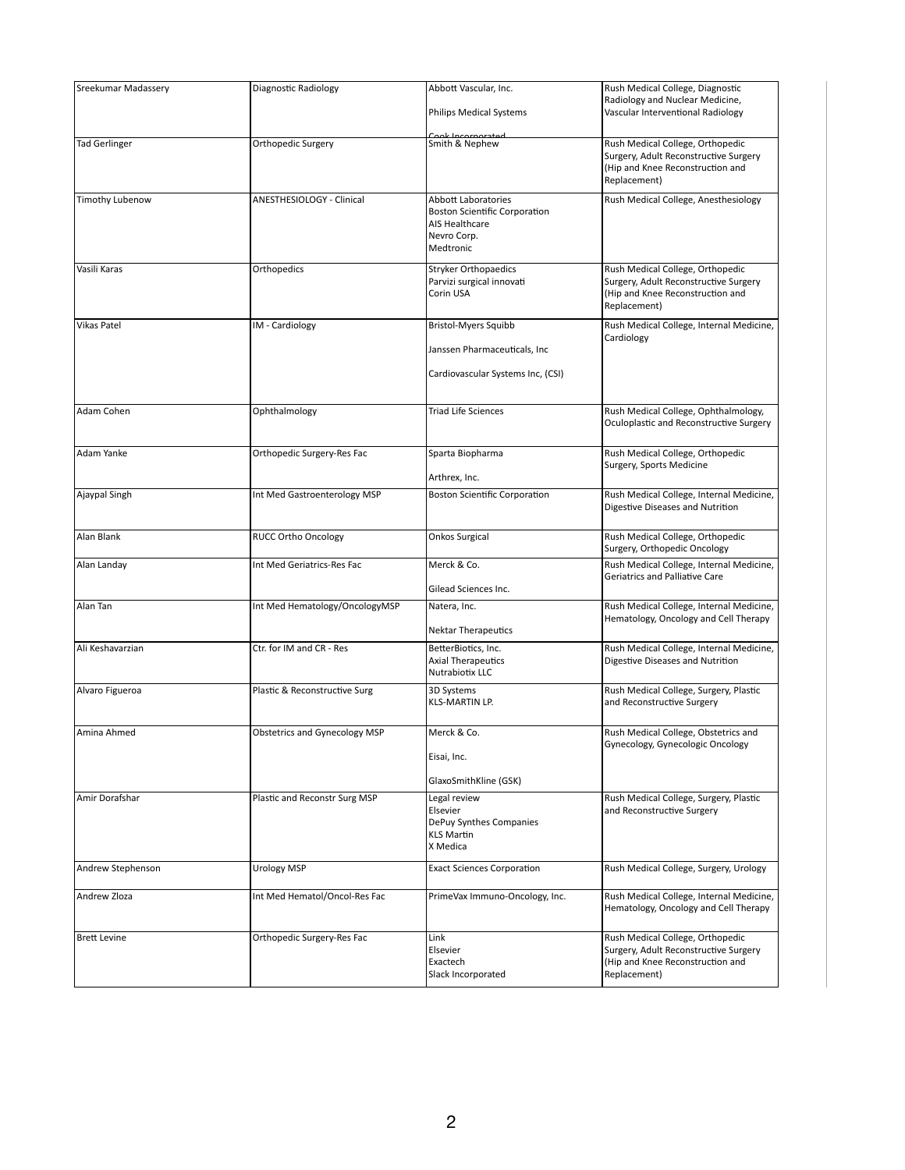| <b>Sreekumar Madassery</b> | <b>Diagnostic Radiology</b>          | Abbott Vascular, Inc.                                                                                            | Rush Medical College, Diagnostic                                                                                              |
|----------------------------|--------------------------------------|------------------------------------------------------------------------------------------------------------------|-------------------------------------------------------------------------------------------------------------------------------|
|                            |                                      | <b>Philips Medical Systems</b>                                                                                   | Radiology and Nuclear Medicine,<br>Vascular Interventional Radiology                                                          |
| <b>Tad Gerlinger</b>       | Orthopedic Surgery                   | Cook Incorporated<br>Smith & Nephew                                                                              | Rush Medical College, Orthopedic<br>Surgery, Adult Reconstructive Surgery<br>(Hip and Knee Reconstruction and<br>Replacement) |
| <b>Timothy Lubenow</b>     | ANESTHESIOLOGY - Clinical            | <b>Abbott Laboratories</b><br><b>Boston Scientific Corporation</b><br>AIS Healthcare<br>Nevro Corp.<br>Medtronic | Rush Medical College, Anesthesiology                                                                                          |
| Vasili Karas               | Orthopedics                          | <b>Stryker Orthopaedics</b><br>Parvizi surgical innovati<br>Corin USA                                            | Rush Medical College, Orthopedic<br>Surgery, Adult Reconstructive Surgery<br>(Hip and Knee Reconstruction and<br>Replacement) |
| <b>Vikas Patel</b>         | IM - Cardiology                      | <b>Bristol-Myers Squibb</b><br>Janssen Pharmaceuticals, Inc<br>Cardiovascular Systems Inc, (CSI)                 | Rush Medical College, Internal Medicine,<br>Cardiology                                                                        |
| Adam Cohen                 | Ophthalmology                        | <b>Triad Life Sciences</b>                                                                                       | Rush Medical College, Ophthalmology,<br>Oculoplastic and Reconstructive Surgery                                               |
| Adam Yanke                 | Orthopedic Surgery-Res Fac           | Sparta Biopharma<br>Arthrex, Inc.                                                                                | Rush Medical College, Orthopedic<br>Surgery, Sports Medicine                                                                  |
| Ajaypal Singh              | Int Med Gastroenterology MSP         | <b>Boston Scientific Corporation</b>                                                                             | Rush Medical College, Internal Medicine,<br>Digestive Diseases and Nutrition                                                  |
| Alan Blank                 | <b>RUCC Ortho Oncology</b>           | <b>Onkos Surgical</b>                                                                                            | Rush Medical College, Orthopedic<br>Surgery, Orthopedic Oncology                                                              |
| Alan Landay                | Int Med Geriatrics-Res Fac           | Merck & Co.<br>Gilead Sciences Inc.                                                                              | Rush Medical College, Internal Medicine,<br><b>Geriatrics and Palliative Care</b>                                             |
| Alan Tan                   | Int Med Hematology/OncologyMSP       | Natera, Inc.<br><b>Nektar Therapeutics</b>                                                                       | Rush Medical College, Internal Medicine,<br>Hematology, Oncology and Cell Therapy                                             |
| Ali Keshavarzian           | Ctr. for IM and CR - Res             | BetterBiotics, Inc.<br><b>Axial Therapeutics</b><br>Nutrabiotix LLC                                              | Rush Medical College, Internal Medicine,<br>Digestive Diseases and Nutrition                                                  |
| Alvaro Figueroa            | Plastic & Reconstructive Surg        | 3D Systems<br><b>KLS-MARTIN LP.</b>                                                                              | Rush Medical College, Surgery, Plastic<br>and Reconstructive Surgery                                                          |
| Amina Ahmed                | <b>Obstetrics and Gynecology MSP</b> | Merck & Co.<br>Eisai, Inc.<br>GlaxoSmithKline (GSK)                                                              | Rush Medical College, Obstetrics and<br>Gynecology, Gynecologic Oncology                                                      |
| Amir Dorafshar             | Plastic and Reconstr Surg MSP        | Legal review<br>Elsevier<br>DePuy Synthes Companies<br><b>KLS Martin</b><br>X Medica                             | Rush Medical College, Surgery, Plastic<br>and Reconstructive Surgery                                                          |
| Andrew Stephenson          | <b>Urology MSP</b>                   | <b>Exact Sciences Corporation</b>                                                                                | Rush Medical College, Surgery, Urology                                                                                        |
| Andrew Zloza               | Int Med Hematol/Oncol-Res Fac        | PrimeVax Immuno-Oncology, Inc.                                                                                   | Rush Medical College, Internal Medicine,<br>Hematology, Oncology and Cell Therapy                                             |
| <b>Brett Levine</b>        | Orthopedic Surgery-Res Fac           | Link<br>Elsevier<br>Exactech<br>Slack Incorporated                                                               | Rush Medical College, Orthopedic<br>Surgery, Adult Reconstructive Surgery<br>(Hip and Knee Reconstruction and<br>Replacement) |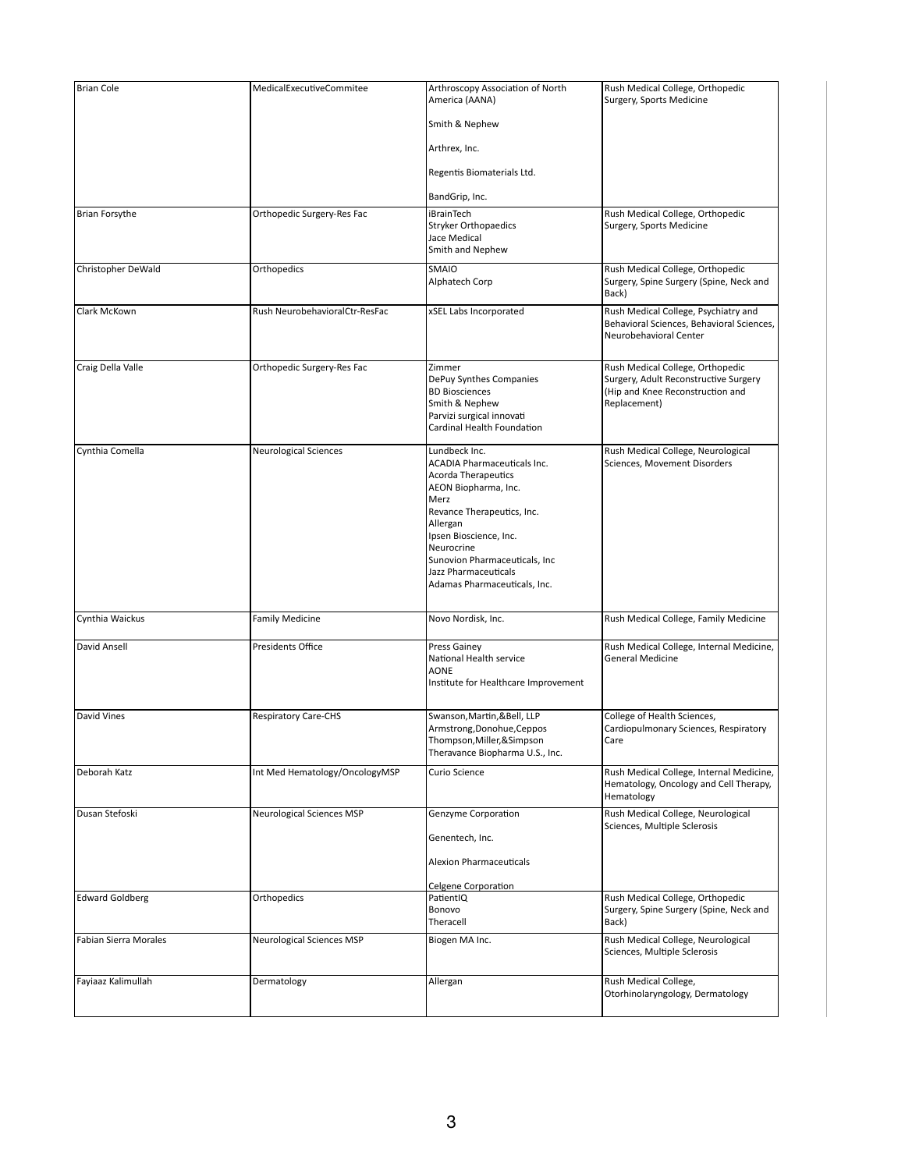| <b>Brian Cole</b>      | MedicalExecutiveCommitee         | Arthroscopy Association of North<br>America (AANA)                                                                                                                                                                                                                                           | Rush Medical College, Orthopedic<br>Surgery, Sports Medicine                                                                  |
|------------------------|----------------------------------|----------------------------------------------------------------------------------------------------------------------------------------------------------------------------------------------------------------------------------------------------------------------------------------------|-------------------------------------------------------------------------------------------------------------------------------|
|                        |                                  | Smith & Nephew                                                                                                                                                                                                                                                                               |                                                                                                                               |
|                        |                                  | Arthrex, Inc.                                                                                                                                                                                                                                                                                |                                                                                                                               |
|                        |                                  | Regentis Biomaterials Ltd.                                                                                                                                                                                                                                                                   |                                                                                                                               |
|                        |                                  | BandGrip, Inc.                                                                                                                                                                                                                                                                               |                                                                                                                               |
| Brian Forsythe         | Orthopedic Surgery-Res Fac       | <b>iBrainTech</b><br><b>Stryker Orthopaedics</b><br>Jace Medical<br>Smith and Nephew                                                                                                                                                                                                         | Rush Medical College, Orthopedic<br>Surgery, Sports Medicine                                                                  |
| Christopher DeWald     | Orthopedics                      | SMAIO<br>Alphatech Corp                                                                                                                                                                                                                                                                      | Rush Medical College, Orthopedic<br>Surgery, Spine Surgery (Spine, Neck and<br>Back)                                          |
| <b>Clark McKown</b>    | Rush NeurobehavioralCtr-ResFac   | xSEL Labs Incorporated                                                                                                                                                                                                                                                                       | Rush Medical College, Psychiatry and<br>Behavioral Sciences, Behavioral Sciences,<br>Neurobehavioral Center                   |
| Craig Della Valle      | Orthopedic Surgery-Res Fac       | Zimmer<br>DePuy Synthes Companies<br><b>BD Biosciences</b><br>Smith & Nephew<br>Parvizi surgical innovati<br><b>Cardinal Health Foundation</b>                                                                                                                                               | Rush Medical College, Orthopedic<br>Surgery, Adult Reconstructive Surgery<br>(Hip and Knee Reconstruction and<br>Replacement) |
| Cynthia Comella        | <b>Neurological Sciences</b>     | Lundbeck Inc.<br><b>ACADIA Pharmaceuticals Inc.</b><br><b>Acorda Therapeutics</b><br>AEON Biopharma, Inc.<br>Merz<br>Revance Therapeutics, Inc.<br>Allergan<br>Ipsen Bioscience, Inc.<br>Neurocrine<br>Sunovion Pharmaceuticals, Inc<br>Jazz Pharmaceuticals<br>Adamas Pharmaceuticals, Inc. | Rush Medical College, Neurological<br>Sciences, Movement Disorders                                                            |
| Cynthia Waickus        | <b>Family Medicine</b>           | Novo Nordisk, Inc.                                                                                                                                                                                                                                                                           | Rush Medical College, Family Medicine                                                                                         |
| David Ansell           | Presidents Office                | <b>Press Gainey</b><br>National Health service<br><b>AONE</b><br>Institute for Healthcare Improvement                                                                                                                                                                                        | Rush Medical College, Internal Medicine,<br><b>General Medicine</b>                                                           |
| David Vines            | <b>Respiratory Care-CHS</b>      | Swanson, Martin, & Bell, LLP<br>Armstrong, Donohue, Ceppos<br>Thompson, Miller, & Simpson<br>Theravance Biopharma U.S., Inc.                                                                                                                                                                 | College of Health Sciences,<br>Cardiopulmonary Sciences, Respiratory<br>Care                                                  |
| Deborah Katz           | Int Med Hematology/OncologyMSP   | Curio Science                                                                                                                                                                                                                                                                                | Rush Medical College, Internal Medicine,<br>Hematology, Oncology and Cell Therapy,<br>Hematology                              |
| Dusan Stefoski         | <b>Neurological Sciences MSP</b> | Genzyme Corporation<br>Genentech, Inc.<br><b>Alexion Pharmaceuticals</b><br><b>Celgene Corporation</b>                                                                                                                                                                                       | Rush Medical College, Neurological<br>Sciences, Multiple Sclerosis                                                            |
| <b>Edward Goldberg</b> | Orthopedics                      | PatientIQ<br>Bonovo<br>Theracell                                                                                                                                                                                                                                                             | Rush Medical College, Orthopedic<br>Surgery, Spine Surgery (Spine, Neck and<br>Back)                                          |
| Fabian Sierra Morales  | <b>Neurological Sciences MSP</b> | Biogen MA Inc.                                                                                                                                                                                                                                                                               | Rush Medical College, Neurological<br>Sciences, Multiple Sclerosis                                                            |
| Fayiaaz Kalimullah     | Dermatology                      | Allergan                                                                                                                                                                                                                                                                                     | Rush Medical College,<br>Otorhinolaryngology, Dermatology                                                                     |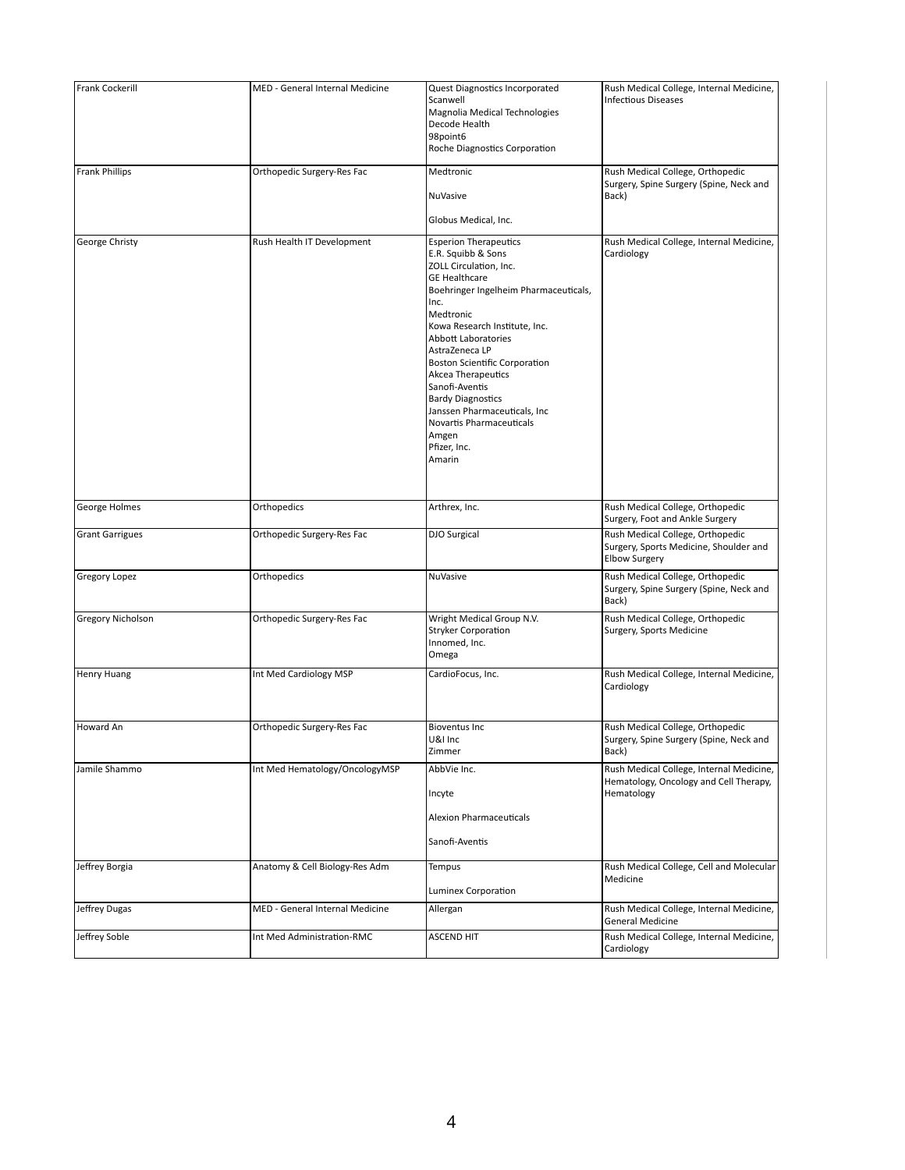| Frank Cockerill          | MED - General Internal Medicine | <b>Quest Diagnostics Incorporated</b><br>Scanwell<br>Magnolia Medical Technologies<br>Decode Health<br>98point6<br><b>Roche Diagnostics Corporation</b>                                                                                                                                                                                                                                                                                                        | Rush Medical College, Internal Medicine,<br><b>Infectious Diseases</b>                             |
|--------------------------|---------------------------------|----------------------------------------------------------------------------------------------------------------------------------------------------------------------------------------------------------------------------------------------------------------------------------------------------------------------------------------------------------------------------------------------------------------------------------------------------------------|----------------------------------------------------------------------------------------------------|
| Frank Phillips           | Orthopedic Surgery-Res Fac      | Medtronic<br><b>NuVasive</b><br>Globus Medical, Inc.                                                                                                                                                                                                                                                                                                                                                                                                           | Rush Medical College, Orthopedic<br>Surgery, Spine Surgery (Spine, Neck and<br>Back)               |
| George Christy           | Rush Health IT Development      | <b>Esperion Therapeutics</b><br>E.R. Squibb & Sons<br>ZOLL Circulation, Inc.<br><b>GE Healthcare</b><br>Boehringer Ingelheim Pharmaceuticals,<br>Inc.<br>Medtronic<br>Kowa Research Institute, Inc.<br><b>Abbott Laboratories</b><br>AstraZeneca LP<br><b>Boston Scientific Corporation</b><br>Akcea Therapeutics<br>Sanofi-Aventis<br><b>Bardy Diagnostics</b><br>Janssen Pharmaceuticals, Inc<br>Novartis Pharmaceuticals<br>Amgen<br>Pfizer, Inc.<br>Amarin | Rush Medical College, Internal Medicine,<br>Cardiology                                             |
| George Holmes            | Orthopedics                     | Arthrex, Inc.                                                                                                                                                                                                                                                                                                                                                                                                                                                  | Rush Medical College, Orthopedic<br>Surgery, Foot and Ankle Surgery                                |
| <b>Grant Garrigues</b>   | Orthopedic Surgery-Res Fac      | <b>DJO Surgical</b>                                                                                                                                                                                                                                                                                                                                                                                                                                            | Rush Medical College, Orthopedic<br>Surgery, Sports Medicine, Shoulder and<br><b>Elbow Surgery</b> |
| Gregory Lopez            | Orthopedics                     | <b>NuVasive</b>                                                                                                                                                                                                                                                                                                                                                                                                                                                | Rush Medical College, Orthopedic<br>Surgery, Spine Surgery (Spine, Neck and<br>Back)               |
| <b>Gregory Nicholson</b> | Orthopedic Surgery-Res Fac      | Wright Medical Group N.V.<br><b>Stryker Corporation</b><br>Innomed, Inc.<br>Omega                                                                                                                                                                                                                                                                                                                                                                              | Rush Medical College, Orthopedic<br>Surgery, Sports Medicine                                       |
| <b>Henry Huang</b>       | Int Med Cardiology MSP          | CardioFocus, Inc.                                                                                                                                                                                                                                                                                                                                                                                                                                              | Rush Medical College, Internal Medicine,<br>Cardiology                                             |
| Howard An                | Orthopedic Surgery-Res Fac      | <b>Bioventus Inc</b><br>U&I Inc<br>Zimmer                                                                                                                                                                                                                                                                                                                                                                                                                      | Rush Medical College, Orthopedic<br>Surgery, Spine Surgery (Spine, Neck and<br>Back)               |
| Jamile Shammo            | Int Med Hematology/OncologyMSP  | AbbVie Inc.<br>Incyte<br><b>Alexion Pharmaceuticals</b><br>Sanofi-Aventis                                                                                                                                                                                                                                                                                                                                                                                      | Rush Medical College, Internal Medicine,<br>Hematology, Oncology and Cell Therapy,<br>Hematology   |
| Jeffrey Borgia           | Anatomy & Cell Biology-Res Adm  | <b>Tempus</b><br>Luminex Corporation                                                                                                                                                                                                                                                                                                                                                                                                                           | Rush Medical College, Cell and Molecular<br>Medicine                                               |
| Jeffrey Dugas            | MED - General Internal Medicine | Allergan                                                                                                                                                                                                                                                                                                                                                                                                                                                       | Rush Medical College, Internal Medicine,<br><b>General Medicine</b>                                |
| Jeffrey Soble            | Int Med Administration-RMC      | <b>ASCEND HIT</b>                                                                                                                                                                                                                                                                                                                                                                                                                                              | Rush Medical College, Internal Medicine,<br>Cardiology                                             |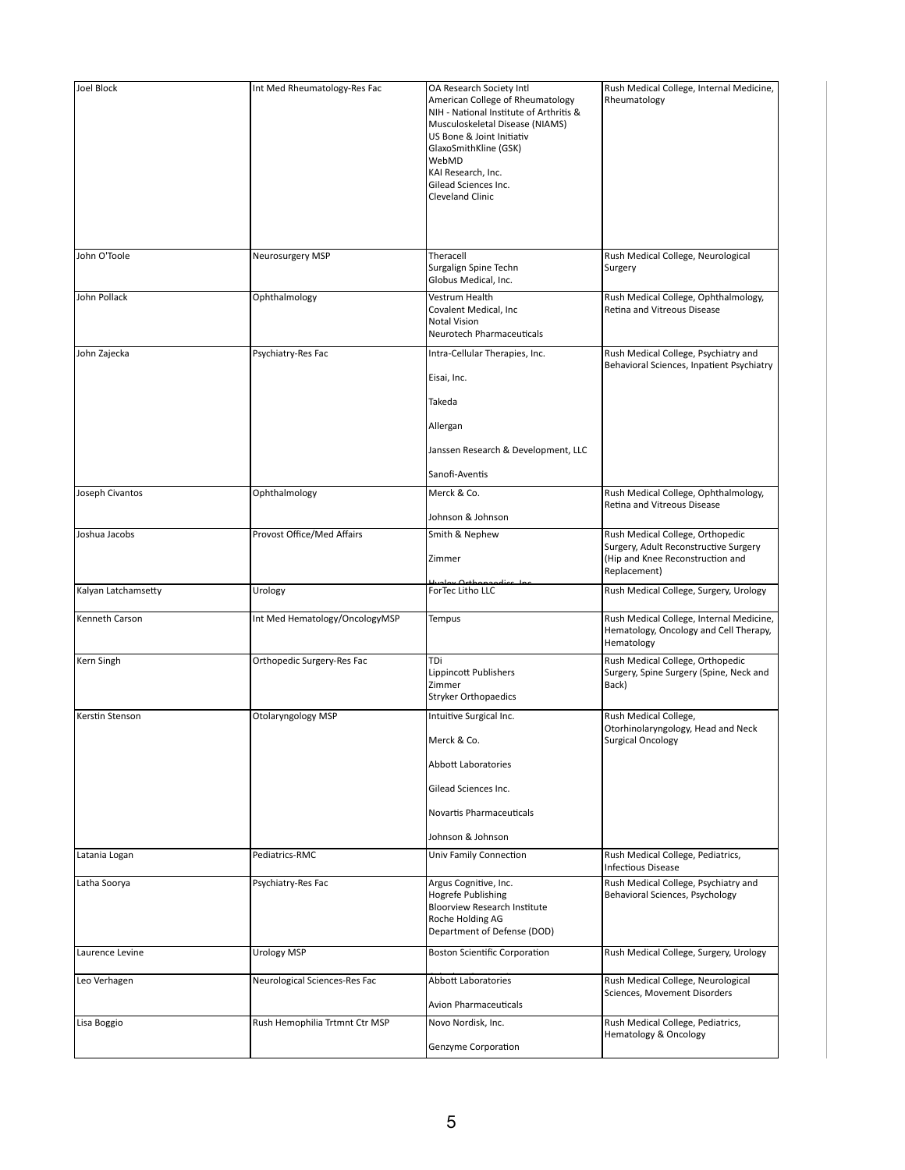| <b>Joel Block</b>   | Int Med Rheumatology-Res Fac   | OA Research Society Intl<br>American College of Rheumatology<br>$\sqrt{\text{N}}$ - National Institute of Arthritis &<br>Musculoskeletal Disease (NIAMS)<br>US Bone & Joint Initiativ<br>GlaxoSmithKline (GSK)<br>WebMD<br>KAI Research, Inc.<br>Gilead Sciences Inc.<br><b>Cleveland Clinic</b> | Rush Medical College, Internal Medicine,<br>Rheumatology                                                                      |
|---------------------|--------------------------------|--------------------------------------------------------------------------------------------------------------------------------------------------------------------------------------------------------------------------------------------------------------------------------------------------|-------------------------------------------------------------------------------------------------------------------------------|
| John O'Toole        | Neurosurgery MSP               | Theracell<br>Surgalign Spine Techn                                                                                                                                                                                                                                                               | Rush Medical College, Neurological<br>Surgery                                                                                 |
| John Pollack        | Ophthalmology                  | Globus Medical, Inc.<br>Vestrum Health<br>Covalent Medical, Inc<br><b>Notal Vision</b><br>Neurotech Pharmaceuticals                                                                                                                                                                              | Rush Medical College, Ophthalmology,<br>Retina and Vitreous Disease                                                           |
| John Zajecka        | Psychiatry-Res Fac             | Intra-Cellular Therapies, Inc.<br>Eisai, Inc.<br>Takeda<br>Allergan<br>Janssen Research & Development, LLC<br>Sanofi-Aventis                                                                                                                                                                     | Rush Medical College, Psychiatry and<br>Behavioral Sciences, Inpatient Psychiatry                                             |
| Joseph Civantos     | Ophthalmology                  | Merck & Co.<br>Johnson & Johnson                                                                                                                                                                                                                                                                 | Rush Medical College, Ophthalmology,<br>Retina and Vitreous Disease                                                           |
| Joshua Jacobs       | Provost Office/Med Affairs     | Smith & Nephew<br>Zimmer                                                                                                                                                                                                                                                                         | Rush Medical College, Orthopedic<br>Surgery, Adult Reconstructive Surgery<br>(Hip and Knee Reconstruction and<br>Replacement) |
| Kalyan Latchamsetty | Urology                        | walex Orthopagdics Inc<br>ForTec Litho LLC                                                                                                                                                                                                                                                       | Rush Medical College, Surgery, Urology                                                                                        |
| Kenneth Carson      | Int Med Hematology/OncologyMSP | Tempus                                                                                                                                                                                                                                                                                           | Rush Medical College, Internal Medicine,<br>Hematology, Oncology and Cell Therapy,<br>Hematology                              |
| Kern Singh          | Orthopedic Surgery-Res Fac     | TDi<br>Lippincott Publishers<br>Zimmer<br><b>Stryker Orthopaedics</b>                                                                                                                                                                                                                            | Rush Medical College, Orthopedic<br>Surgery, Spine Surgery (Spine, Neck and<br>Back)                                          |
| Kerstin Stenson     | Otolaryngology MSP             | Intuitive Surgical Inc.<br>Merck & Co.<br>Abbott Laboratories<br>Gilead Sciences Inc.<br>Novartis Pharmaceuticals<br>Johnson & Johnson                                                                                                                                                           | Rush Medical College,<br>Otorhinolaryngology, Head and Neck<br><b>Surgical Oncology</b>                                       |
| Latania Logan       | Pediatrics-RMC                 | <b>Univ Family Connection</b>                                                                                                                                                                                                                                                                    | Rush Medical College, Pediatrics,<br><b>Infectious Disease</b>                                                                |
| Latha Soorya        | Psychiatry-Res Fac             | Argus Cognitive, Inc.<br><b>Hogrefe Publishing</b><br><b>Bloorview Research Institute</b><br>Roche Holding AG<br>Department of Defense (DOD)                                                                                                                                                     | Rush Medical College, Psychiatry and<br>Behavioral Sciences, Psychology                                                       |
| Laurence Levine     | <b>Urology MSP</b>             | <b>Boston Scientific Corporation</b>                                                                                                                                                                                                                                                             | Rush Medical College, Surgery, Urology                                                                                        |
| Leo Verhagen        | Neurological Sciences-Res Fac  | <b>Abbott Laboratories</b><br><b>Avion Pharmaceuticals</b>                                                                                                                                                                                                                                       | Rush Medical College, Neurological<br>Sciences, Movement Disorders                                                            |
| Lisa Boggio         | Rush Hemophilia Trtmnt Ctr MSP | Novo Nordisk, Inc.<br>Genzyme Corporation                                                                                                                                                                                                                                                        | Rush Medical College, Pediatrics,<br><b>Hematology &amp; Oncology</b>                                                         |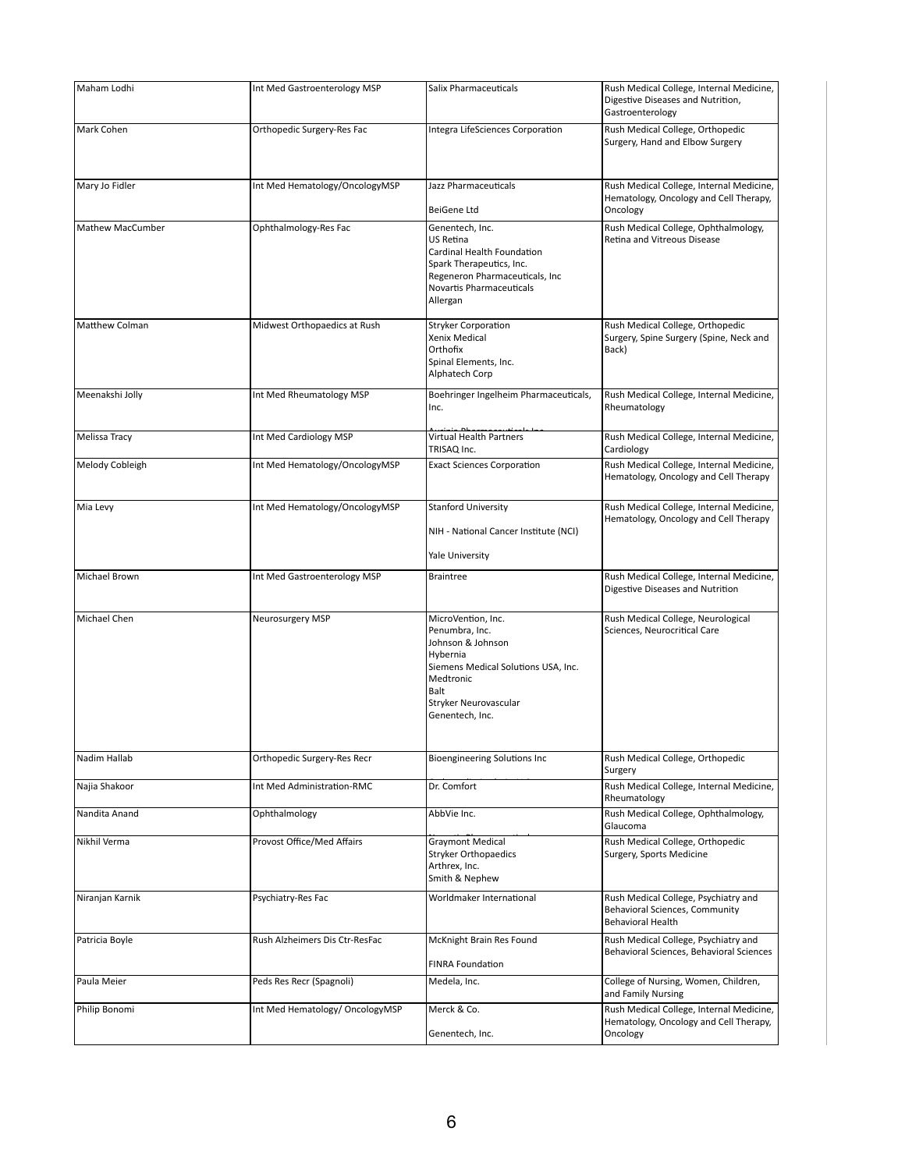| Maham Lodhi      | Int Med Gastroenterology MSP    | <b>Salix Pharmaceuticals</b>                                                                                                                                                         | Rush Medical College, Internal Medicine,<br>Digestive Diseases and Nutrition,<br>Gastroenterology         |
|------------------|---------------------------------|--------------------------------------------------------------------------------------------------------------------------------------------------------------------------------------|-----------------------------------------------------------------------------------------------------------|
| Mark Cohen       | Orthopedic Surgery-Res Fac      | Integra LifeSciences Corporation                                                                                                                                                     | Rush Medical College, Orthopedic<br>Surgery, Hand and Elbow Surgery                                       |
| Mary Jo Fidler   | Int Med Hematology/OncologyMSP  | Jazz Pharmaceuticals                                                                                                                                                                 | Rush Medical College, Internal Medicine,<br>Hematology, Oncology and Cell Therapy,                        |
|                  |                                 | BeiGene Ltd                                                                                                                                                                          | Oncology                                                                                                  |
| Mathew MacCumber | Ophthalmology-Res Fac           | Genentech, Inc.<br><b>US Retina</b><br>Cardinal Health Foundation<br>Spark Therapeutics, Inc.<br>Regeneron Pharmaceuticals, Inc<br>Novartis Pharmaceuticals<br>Allergan              | Rush Medical College, Ophthalmology,<br>Retina and Vitreous Disease                                       |
| Matthew Colman   | Midwest Orthopaedics at Rush    | <b>Stryker Corporation</b><br>Xenix Medical<br>Orthofix<br>Spinal Elements, Inc.<br>Alphatech Corp                                                                                   | Rush Medical College, Orthopedic<br>Surgery, Spine Surgery (Spine, Neck and<br>Back)                      |
| Meenakshi Jolly  | Int Med Rheumatology MSP        | Boehringer Ingelheim Pharmaceuticals,<br>Inc.                                                                                                                                        | Rush Medical College, Internal Medicine,<br>Rheumatology                                                  |
| Melissa Tracy    | Int Med Cardiology MSP          | <b>Virtual Health Partners</b><br>TRISAQ Inc.                                                                                                                                        | Rush Medical College, Internal Medicine,<br>Cardiology                                                    |
| Melody Cobleigh  | Int Med Hematology/OncologyMSP  | <b>Exact Sciences Corporation</b>                                                                                                                                                    | Rush Medical College, Internal Medicine,<br>Hematology, Oncology and Cell Therapy                         |
| Mia Levy         | Int Med Hematology/OncologyMSP  | <b>Stanford University</b><br>NIH - National Cancer Institute (NCI)<br><b>Yale University</b>                                                                                        | Rush Medical College, Internal Medicine,<br>Hematology, Oncology and Cell Therapy                         |
| Michael Brown    | Int Med Gastroenterology MSP    | <b>Braintree</b>                                                                                                                                                                     | Rush Medical College, Internal Medicine,<br>Digestive Diseases and Nutrition                              |
| Michael Chen     | Neurosurgery MSP                | MicroVention, Inc.<br>Penumbra, Inc.<br>Johnson & Johnson<br>Hybernia<br>Siemens Medical Solutions USA, Inc.<br>Medtronic<br><b>Balt</b><br>Stryker Neurovascular<br>Genentech, Inc. | Rush Medical College, Neurological<br>Sciences, Neurocritical Care                                        |
| Nadim Hallab     | Orthopedic Surgery-Res Recr     | <b>Bioengineering Solutions Inc</b>                                                                                                                                                  | Rush Medical College, Orthopedic<br>Surgery                                                               |
| Najia Shakoor    | Int Med Administration-RMC      | Dr. Comfort                                                                                                                                                                          | Rush Medical College, Internal Medicine,<br>Rheumatology                                                  |
| Nandita Anand    | Ophthalmology                   | AbbVie Inc.                                                                                                                                                                          | Rush Medical College, Ophthalmology,<br>Glaucoma                                                          |
| Nikhil Verma     | Provost Office/Med Affairs      | <b>Graymont Medical</b><br><b>Stryker Orthopaedics</b><br>Arthrex, Inc.<br>Smith & Nephew                                                                                            | Rush Medical College, Orthopedic<br>Surgery, Sports Medicine                                              |
| Niranjan Karnik  | Psychiatry-Res Fac              | Worldmaker International                                                                                                                                                             | Rush Medical College, Psychiatry and<br><b>Behavioral Sciences, Community</b><br><b>Behavioral Health</b> |
| Patricia Boyle   | Rush Alzheimers Dis Ctr-ResFac  | McKnight Brain Res Found<br><b>FINRA Foundation</b>                                                                                                                                  | Rush Medical College, Psychiatry and<br>Behavioral Sciences, Behavioral Sciences                          |
| Paula Meier      | Peds Res Recr (Spagnoli)        | Medela, Inc.                                                                                                                                                                         | College of Nursing, Women, Children,<br>and Family Nursing                                                |
| Philip Bonomi    | Int Med Hematology/ OncologyMSP | Merck & Co.<br>Genentech, Inc.                                                                                                                                                       | Rush Medical College, Internal Medicine,<br>Hematology, Oncology and Cell Therapy,<br>Oncology            |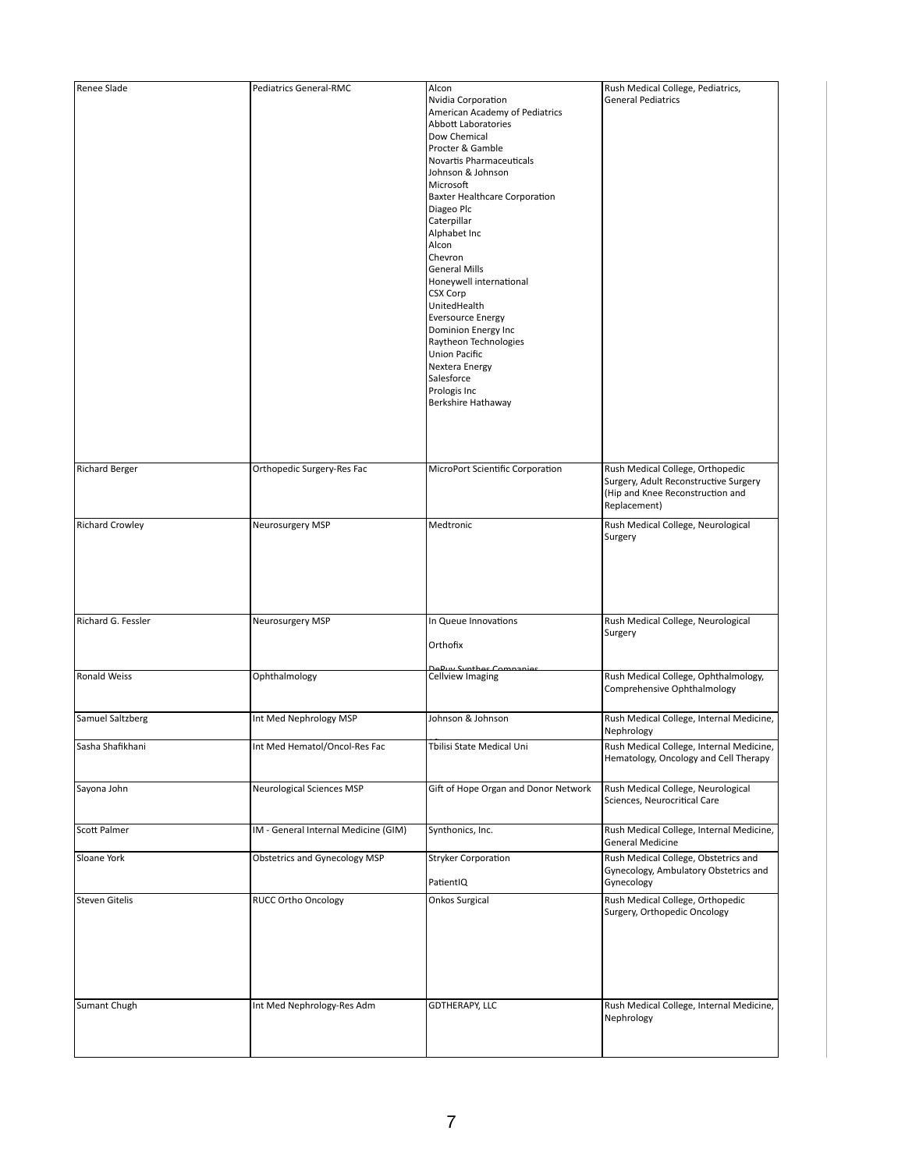| Renee Slade            | <b>Pediatrics General-RMC</b>        | Alcon                                                                                                                                                                                                                                                                                                                                                                                                                                                                                                                                                  | Rush Medical College, Pediatrics,                                                                                            |
|------------------------|--------------------------------------|--------------------------------------------------------------------------------------------------------------------------------------------------------------------------------------------------------------------------------------------------------------------------------------------------------------------------------------------------------------------------------------------------------------------------------------------------------------------------------------------------------------------------------------------------------|------------------------------------------------------------------------------------------------------------------------------|
|                        |                                      | Nvidia Corporation<br>American Academy of Pediatrics<br>Abbott Laboratories<br>Dow Chemical<br>Procter & Gamble<br>Novartis Pharmaceuticals<br>Johnson & Johnson<br>Microsoft<br><b>Baxter Healthcare Corporation</b><br>Diageo Plc<br>Caterpillar<br>Alphabet Inc<br>Alcon<br>Chevron<br><b>General Mills</b><br>Honeywell international<br><b>CSX Corp</b><br>UnitedHealth<br><b>Eversource Energy</b><br>Dominion Energy Inc<br>Raytheon Technologies<br><b>Union Pacific</b><br>Nextera Energy<br>Salesforce<br>Prologis Inc<br>Berkshire Hathaway | <b>General Pediatrics</b>                                                                                                    |
| <b>Richard Berger</b>  | Orthopedic Surgery-Res Fac           | MicroPort Scientific Corporation                                                                                                                                                                                                                                                                                                                                                                                                                                                                                                                       | Rush Medical College, Orthopedic<br>Surgery, Adult Reconstructive Surgery<br>Hip and Knee Reconstruction and<br>Replacement) |
| <b>Richard Crowley</b> | Neurosurgery MSP                     | Medtronic                                                                                                                                                                                                                                                                                                                                                                                                                                                                                                                                              | Rush Medical College, Neurological<br>Surgery                                                                                |
| Richard G. Fessler     | Neurosurgery MSP                     | In Queue Innovations<br>Orthofix                                                                                                                                                                                                                                                                                                                                                                                                                                                                                                                       | Rush Medical College, Neurological<br>Surgery                                                                                |
| <b>Ronald Weiss</b>    | Ophthalmology                        | Daluy Synthos Companies<br><b>Cellview Imaging</b>                                                                                                                                                                                                                                                                                                                                                                                                                                                                                                     | Rush Medical College, Ophthalmology,<br>Comprehensive Ophthalmology                                                          |
| Samuel Saltzberg       | Int Med Nephrology MSP               | Johnson & Johnson                                                                                                                                                                                                                                                                                                                                                                                                                                                                                                                                      | Rush Medical College, Internal Medicine,<br>Nephrology                                                                       |
| Sasha Shafikhani       | Int Med Hematol/Oncol-Res Fac        | Tbilisi State Medical Uni                                                                                                                                                                                                                                                                                                                                                                                                                                                                                                                              | Rush Medical College, Internal Medicine,<br>Hematology, Oncology and Cell Therapy                                            |
| Sayona John            | <b>Neurological Sciences MSP</b>     | Gift of Hope Organ and Donor Network                                                                                                                                                                                                                                                                                                                                                                                                                                                                                                                   | Rush Medical College, Neurological<br>Sciences, Neurocritical Care                                                           |
| Scott Palmer           | IM - General Internal Medicine (GIM) | Synthonics, Inc.                                                                                                                                                                                                                                                                                                                                                                                                                                                                                                                                       | Rush Medical College, Internal Medicine,<br><b>General Medicine</b>                                                          |
| Sloane York            | <b>Obstetrics and Gynecology MSP</b> | <b>Stryker Corporation</b><br>PatientIQ                                                                                                                                                                                                                                                                                                                                                                                                                                                                                                                | Rush Medical College, Obstetrics and<br>Gynecology, Ambulatory Obstetrics and<br>Gynecology                                  |
| Steven Gitelis         | <b>RUCC Ortho Oncology</b>           | <b>Onkos Surgical</b>                                                                                                                                                                                                                                                                                                                                                                                                                                                                                                                                  | Rush Medical College, Orthopedic<br>Surgery, Orthopedic Oncology                                                             |
| Sumant Chugh           | Int Med Nephrology-Res Adm           | <b>GDTHERAPY, LLC</b>                                                                                                                                                                                                                                                                                                                                                                                                                                                                                                                                  | Rush Medical College, Internal Medicine,<br>Nephrology                                                                       |